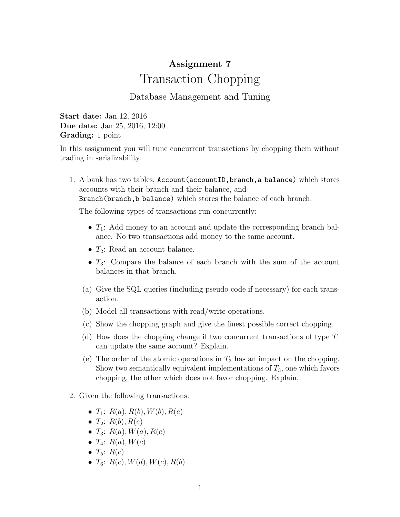## Assignment 7 Transaction Chopping

## Database Management and Tuning

Start date: Jan 12, 2016 Due date: Jan 25, 2016, 12:00 Grading: 1 point

In this assignment you will tune concurrent transactions by chopping them without trading in serializability.

1. A bank has two tables, Account (accountID, branch, a balance) which stores accounts with their branch and their balance, and Branch(branch, b\_balance) which stores the balance of each branch.

The following types of transactions run concurrently:

- $T_1$ : Add money to an account and update the corresponding branch balance. No two transactions add money to the same account.
- $T_2$ : Read an account balance.
- $T_3$ : Compare the balance of each branch with the sum of the account balances in that branch.
- (a) Give the SQL queries (including pseudo code if necessary) for each transaction.
- (b) Model all transactions with read/write operations.
- (c) Show the chopping graph and give the finest possible correct chopping.
- (d) How does the chopping change if two concurrent transactions of type  $T_1$ can update the same account? Explain.
- (e) The order of the atomic operations in  $T_3$  has an impact on the chopping. Show two semantically equivalent implementations of  $T_3$ , one which favors chopping, the other which does not favor chopping. Explain.
- 2. Given the following transactions:
	- $T_1: R(a), R(b), W(b), R(e)$
	- $T_2$ :  $R(b)$ ,  $R(e)$
	- $T_3: R(a), W(a), R(e)$
	- $T_4$ :  $R(a)$ ,  $W(c)$
	- $T_5$ :  $R(c)$
	- $T_6$ :  $R(c)$ ,  $W(d)$ ,  $W(c)$ ,  $R(b)$